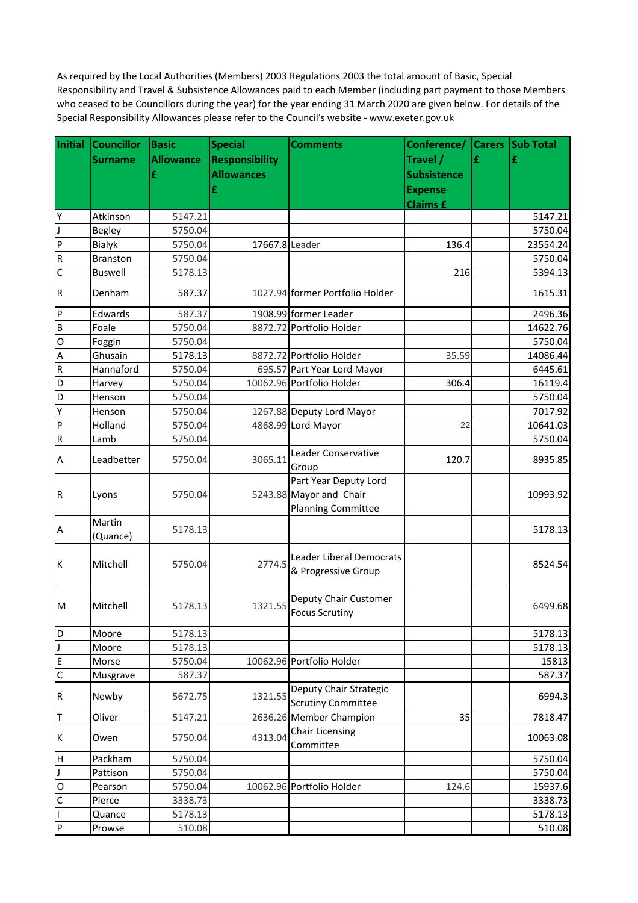As required by the Local Authorities (Members) 2003 Regulations 2003 the total amount of Basic, Special Responsibility and Travel & Subsistence Allowances paid to each Member (including part payment to those Members who ceased to be Councillors during the year) for the year ending 31 March 2020 are given below. For details of the Special Responsibility Allowances please refer to the Council's website - www.exeter.gov.uk

| Initial                   | <b>Councillor</b>  | <b>Basic</b>     | <b>Special</b>        | <b>Comments</b>                                                                   | Conference/ Carers Sub Total |   |          |
|---------------------------|--------------------|------------------|-----------------------|-----------------------------------------------------------------------------------|------------------------------|---|----------|
|                           | <b>Surname</b>     | <b>Allowance</b> | <b>Responsibility</b> |                                                                                   | Travel /                     | £ | £        |
|                           |                    | £                | <b>Allowances</b>     |                                                                                   | <b>Subsistence</b>           |   |          |
|                           |                    |                  | £                     |                                                                                   | <b>Expense</b>               |   |          |
|                           |                    |                  |                       |                                                                                   | <b>Claims £</b>              |   |          |
| Y                         | Atkinson           | 5147.21          |                       |                                                                                   |                              |   | 5147.21  |
| J                         | <b>Begley</b>      | 5750.04          |                       |                                                                                   |                              |   | 5750.04  |
| P                         | <b>Bialyk</b>      | 5750.04          | 17667.8 Leader        |                                                                                   | 136.4                        |   | 23554.24 |
| $\overline{R}$            | <b>Branston</b>    | 5750.04          |                       |                                                                                   |                              |   | 5750.04  |
| $\mathsf{C}$              | <b>Buswell</b>     | 5178.13          |                       |                                                                                   | 216                          |   | 5394.13  |
| $\overline{\mathsf{R}}$   | Denham             | 587.37           |                       | 1027.94 former Portfolio Holder                                                   |                              |   | 1615.31  |
| $\boldsymbol{\mathsf{P}}$ | Edwards            | 587.37           |                       | 1908.99 former Leader                                                             |                              |   | 2496.36  |
| $\overline{B}$            | Foale              | 5750.04          |                       | 8872.72 Portfolio Holder                                                          |                              |   | 14622.76 |
| $\circ$                   | Foggin             | 5750.04          |                       |                                                                                   |                              |   | 5750.04  |
| $\boldsymbol{\mathsf{A}}$ | Ghusain            | 5178.13          |                       | 8872.72 Portfolio Holder                                                          | 35.59                        |   | 14086.44 |
| ${\sf R}$                 | Hannaford          | 5750.04          |                       | 695.57 Part Year Lord Mayor                                                       |                              |   | 6445.61  |
| D                         | Harvey             | 5750.04          |                       | 10062.96 Portfolio Holder                                                         | 306.4                        |   | 16119.4  |
| D                         | Henson             | 5750.04          |                       |                                                                                   |                              |   | 5750.04  |
| Υ                         | Henson             | 5750.04          |                       | 1267.88 Deputy Lord Mayor                                                         |                              |   | 7017.92  |
| ${\sf P}$                 | Holland            | 5750.04          |                       | 4868.99 Lord Mayor                                                                | 22                           |   | 10641.03 |
| $\overline{\mathsf{R}}$   | Lamb               | 5750.04          |                       |                                                                                   |                              |   | 5750.04  |
| A                         | Leadbetter         | 5750.04          | 3065.11               | Leader Conservative<br>Group                                                      | 120.7                        |   | 8935.85  |
| $\mathsf R$               | Lyons              | 5750.04          |                       | Part Year Deputy Lord<br>5243.88 Mayor and Chair<br><b>Planning Committee</b>     |                              |   | 10993.92 |
| $\boldsymbol{\mathsf{A}}$ | Martin<br>(Quance) | 5178.13          |                       |                                                                                   |                              |   | 5178.13  |
| lĸ                        | Mitchell           | 5750.04          |                       | <b>Leader Liberal Democrats</b><br>2774.5   Service Stroup<br>& Progressive Group |                              |   | 8524.54  |
| Iм                        | Mitchell           | 5178.13          | 1321.55               | Deputy Chair Customer<br><b>Focus Scrutiny</b>                                    |                              |   | 6499.68  |
| D                         | Moore              | 5178.13          |                       |                                                                                   |                              |   | 5178.13  |
| J                         | Moore              | 5178.13          |                       |                                                                                   |                              |   | 5178.13  |
| E                         | Morse              | 5750.04          |                       | 10062.96 Portfolio Holder                                                         |                              |   | 15813    |
| $\overline{C}$            | Musgrave           | 587.37           |                       |                                                                                   |                              |   | 587.37   |
| ${\sf R}$                 | Newby              | 5672.75          | 1321.55               | Deputy Chair Strategic<br><b>Scrutiny Committee</b>                               |                              |   | 6994.3   |
| T                         | Oliver             | 5147.21          |                       | 2636.26 Member Champion                                                           | 35                           |   | 7818.47  |
| К                         | Owen               | 5750.04          | 4313.04               | <b>Chair Licensing</b><br>Committee                                               |                              |   | 10063.08 |
| $\sf H$                   | Packham            | 5750.04          |                       |                                                                                   |                              |   | 5750.04  |
| $\mathsf{J}$              | Pattison           | 5750.04          |                       |                                                                                   |                              |   | 5750.04  |
| $\mathsf O$               | Pearson            | 5750.04          |                       | 10062.96 Portfolio Holder                                                         | 124.6                        |   | 15937.6  |
| C                         | Pierce             | 3338.73          |                       |                                                                                   |                              |   | 3338.73  |
|                           | Quance             | 5178.13          |                       |                                                                                   |                              |   | 5178.13  |
| $\mathsf{P}$              | Prowse             | 510.08           |                       |                                                                                   |                              |   | 510.08   |